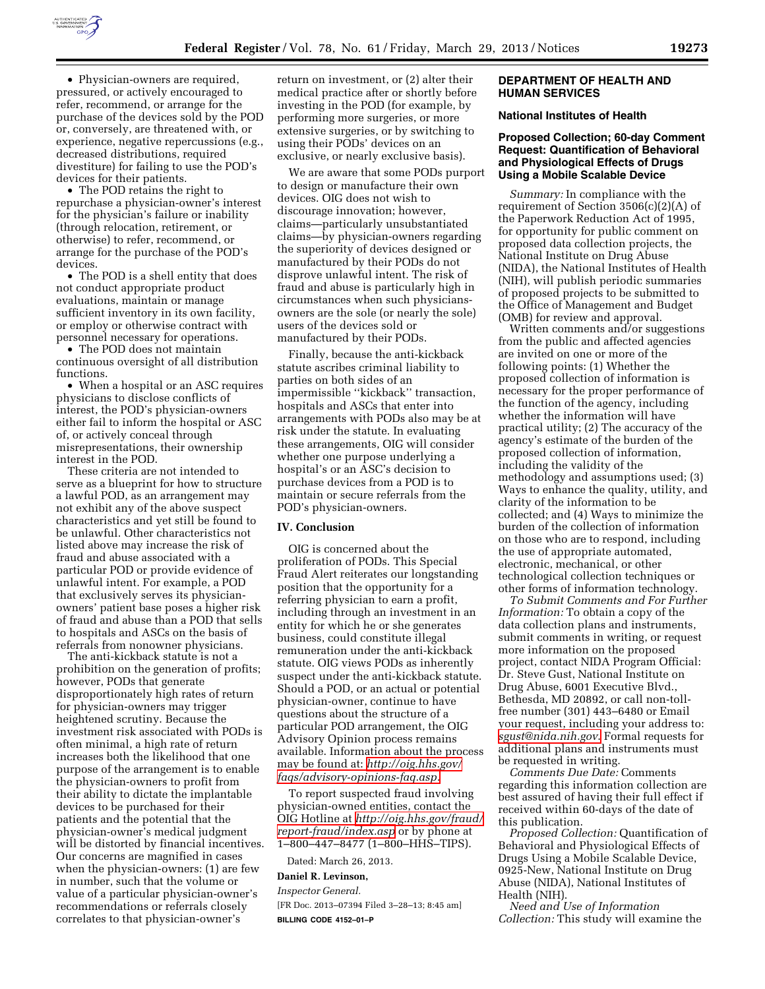

• Physician-owners are required, pressured, or actively encouraged to refer, recommend, or arrange for the purchase of the devices sold by the POD or, conversely, are threatened with, or experience, negative repercussions (e.g., decreased distributions, required divestiture) for failing to use the POD's devices for their patients.

• The POD retains the right to repurchase a physician-owner's interest for the physician's failure or inability (through relocation, retirement, or otherwise) to refer, recommend, or arrange for the purchase of the POD's devices.

• The POD is a shell entity that does not conduct appropriate product evaluations, maintain or manage sufficient inventory in its own facility, or employ or otherwise contract with personnel necessary for operations.

• The POD does not maintain continuous oversight of all distribution functions.

• When a hospital or an ASC requires physicians to disclose conflicts of interest, the POD's physician-owners either fail to inform the hospital or ASC of, or actively conceal through misrepresentations, their ownership interest in the POD.

These criteria are not intended to serve as a blueprint for how to structure a lawful POD, as an arrangement may not exhibit any of the above suspect characteristics and yet still be found to be unlawful. Other characteristics not listed above may increase the risk of fraud and abuse associated with a particular POD or provide evidence of unlawful intent. For example, a POD that exclusively serves its physicianowners' patient base poses a higher risk of fraud and abuse than a POD that sells to hospitals and ASCs on the basis of referrals from nonowner physicians.

The anti-kickback statute is not a prohibition on the generation of profits; however, PODs that generate disproportionately high rates of return for physician-owners may trigger heightened scrutiny. Because the investment risk associated with PODs is often minimal, a high rate of return increases both the likelihood that one purpose of the arrangement is to enable the physician-owners to profit from their ability to dictate the implantable devices to be purchased for their patients and the potential that the physician-owner's medical judgment will be distorted by financial incentives. Our concerns are magnified in cases when the physician-owners: (1) are few in number, such that the volume or value of a particular physician-owner's recommendations or referrals closely correlates to that physician-owner's

return on investment, or (2) alter their medical practice after or shortly before investing in the POD (for example, by performing more surgeries, or more extensive surgeries, or by switching to using their PODs' devices on an exclusive, or nearly exclusive basis).

We are aware that some PODs purport to design or manufacture their own devices. OIG does not wish to discourage innovation; however, claims—particularly unsubstantiated claims—by physician-owners regarding the superiority of devices designed or manufactured by their PODs do not disprove unlawful intent. The risk of fraud and abuse is particularly high in circumstances when such physiciansowners are the sole (or nearly the sole) users of the devices sold or manufactured by their PODs.

Finally, because the anti-kickback statute ascribes criminal liability to parties on both sides of an impermissible ''kickback'' transaction, hospitals and ASCs that enter into arrangements with PODs also may be at risk under the statute. In evaluating these arrangements, OIG will consider whether one purpose underlying a hospital's or an ASC's decision to purchase devices from a POD is to maintain or secure referrals from the POD's physician-owners.

### **IV. Conclusion**

OIG is concerned about the proliferation of PODs. This Special Fraud Alert reiterates our longstanding position that the opportunity for a referring physician to earn a profit, including through an investment in an entity for which he or she generates business, could constitute illegal remuneration under the anti-kickback statute. OIG views PODs as inherently suspect under the anti-kickback statute. Should a POD, or an actual or potential physician-owner, continue to have questions about the structure of a particular POD arrangement, the OIG Advisory Opinion process remains available. Information about the process may be found at: *[http://oig.hhs.gov/](http://oig.hhs.gov/faqs/advisory-opinions-faq.asp)  [faqs/advisory-opinions-faq.asp.](http://oig.hhs.gov/faqs/advisory-opinions-faq.asp)* 

To report suspected fraud involving physician-owned entities, contact the OIG Hotline at *[http://oig.hhs.gov/fraud/](http://oig.hhs.gov/fraud/report-fraud/index.asp)  [report-fraud/index.asp](http://oig.hhs.gov/fraud/report-fraud/index.asp)* or by phone at 1–800–447–8477 (1–800–HHS–TIPS).

Dated: March 26, 2013.

### **Daniel R. Levinson,**

*Inspector General.*  [FR Doc. 2013–07394 Filed 3–28–13; 8:45 am] **BILLING CODE 4152–01–P** 

## **DEPARTMENT OF HEALTH AND HUMAN SERVICES**

# **National Institutes of Health**

# **Proposed Collection; 60-day Comment Request: Quantification of Behavioral and Physiological Effects of Drugs Using a Mobile Scalable Device**

*Summary:* In compliance with the requirement of Section 3506(c)(2)(A) of the Paperwork Reduction Act of 1995, for opportunity for public comment on proposed data collection projects, the National Institute on Drug Abuse (NIDA), the National Institutes of Health (NIH), will publish periodic summaries of proposed projects to be submitted to the Office of Management and Budget (OMB) for review and approval.

Written comments and/or suggestions from the public and affected agencies are invited on one or more of the following points: (1) Whether the proposed collection of information is necessary for the proper performance of the function of the agency, including whether the information will have practical utility; (2) The accuracy of the agency's estimate of the burden of the proposed collection of information, including the validity of the methodology and assumptions used; (3) Ways to enhance the quality, utility, and clarity of the information to be collected; and (4) Ways to minimize the burden of the collection of information on those who are to respond, including the use of appropriate automated, electronic, mechanical, or other technological collection techniques or other forms of information technology.

*To Submit Comments and For Further Information:* To obtain a copy of the data collection plans and instruments, submit comments in writing, or request more information on the proposed project, contact NIDA Program Official: Dr. Steve Gust, National Institute on Drug Abuse, 6001 Executive Blvd., Bethesda, MD 20892, or call non-tollfree number (301) 443–6480 or Email your request, including your address to: *[sgust@nida.nih.gov](mailto:sgust@nida.nih.gov)*. Formal requests for additional plans and instruments must be requested in writing.

*Comments Due Date:* Comments regarding this information collection are best assured of having their full effect if received within 60-days of the date of this publication.

*Proposed Collection:* Quantification of Behavioral and Physiological Effects of Drugs Using a Mobile Scalable Device, 0925-New, National Institute on Drug Abuse (NIDA), National Institutes of Health (NIH).

*Need and Use of Information Collection:* This study will examine the